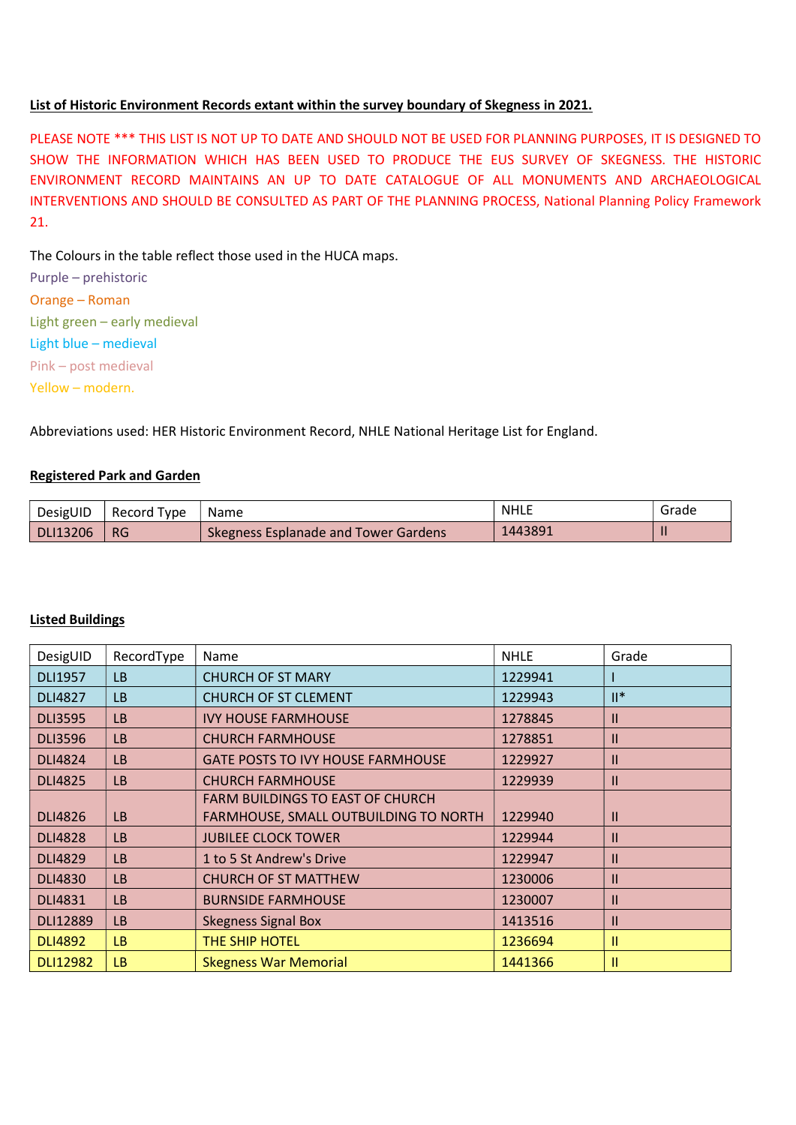## List of Historic Environment Records extant within the survey boundary of Skegness in 2021.

PLEASE NOTE \*\*\* THIS LIST IS NOT UP TO DATE AND SHOULD NOT BE USED FOR PLANNING PURPOSES, IT IS DESIGNED TO SHOW THE INFORMATION WHICH HAS BEEN USED TO PRODUCE THE EUS SURVEY OF SKEGNESS. THE HISTORIC ENVIRONMENT RECORD MAINTAINS AN UP TO DATE CATALOGUE OF ALL MONUMENTS AND ARCHAEOLOGICAL INTERVENTIONS AND SHOULD BE CONSULTED AS PART OF THE PLANNING PROCESS, National Planning Policy Framework 21.

The Colours in the table reflect those used in the HUCA maps.

Purple – prehistoric Orange – Roman Light green – early medieval Light blue – medieval Pink – post medieval Yellow – modern.

Abbreviations used: HER Historic Environment Record, NHLE National Heritage List for England.

## Registered Park and Garden

| DesigUID | Record Type | <b>Name</b>                          | `NHLL   | Grade |
|----------|-------------|--------------------------------------|---------|-------|
| DLI13206 | <b>RG</b>   | Skegness Esplanade and Tower Gardens | 1443891 |       |

## Listed Buildings

| DesigUID        | RecordType | Name                                     | <b>NHLE</b> | Grade         |
|-----------------|------------|------------------------------------------|-------------|---------------|
| <b>DLI1957</b>  | LB         | <b>CHURCH OF ST MARY</b>                 | 1229941     |               |
| <b>DLI4827</b>  | LB         | <b>CHURCH OF ST CLEMENT</b>              | 1229943     | $II^*$        |
| <b>DLI3595</b>  | LB         | <b>IVY HOUSE FARMHOUSE</b>               | 1278845     | Ш             |
| <b>DLI3596</b>  | LB         | <b>CHURCH FARMHOUSE</b>                  | 1278851     | Ш             |
| <b>DLI4824</b>  | <b>LB</b>  | <b>GATE POSTS TO IVY HOUSE FARMHOUSE</b> | 1229927     | $\mathsf{II}$ |
| <b>DLI4825</b>  | LB         | <b>CHURCH FARMHOUSE</b>                  | 1229939     | Ш             |
|                 |            | <b>FARM BUILDINGS TO EAST OF CHURCH</b>  |             |               |
| <b>DLI4826</b>  | LB         | FARMHOUSE, SMALL OUTBUILDING TO NORTH    | 1229940     | $\mathsf{II}$ |
| <b>DLI4828</b>  | <b>LB</b>  | <b>JUBILEE CLOCK TOWER</b>               | 1229944     | Ш             |
| <b>DLI4829</b>  | LB         | 1 to 5 St Andrew's Drive                 | 1229947     | Ш             |
| <b>DLI4830</b>  | LB         | <b>CHURCH OF ST MATTHEW</b>              | 1230006     | Ш             |
| <b>DLI4831</b>  | <b>LB</b>  | <b>BURNSIDE FARMHOUSE</b>                | 1230007     | $\mathsf{II}$ |
| <b>DLI12889</b> | <b>LB</b>  | <b>Skegness Signal Box</b>               | 1413516     | Ш             |
| <b>DLI4892</b>  | LB.        | THE SHIP HOTEL                           | 1236694     | 11            |
| <b>DLI12982</b> | LB.        | <b>Skegness War Memorial</b>             | 1441366     | Ш             |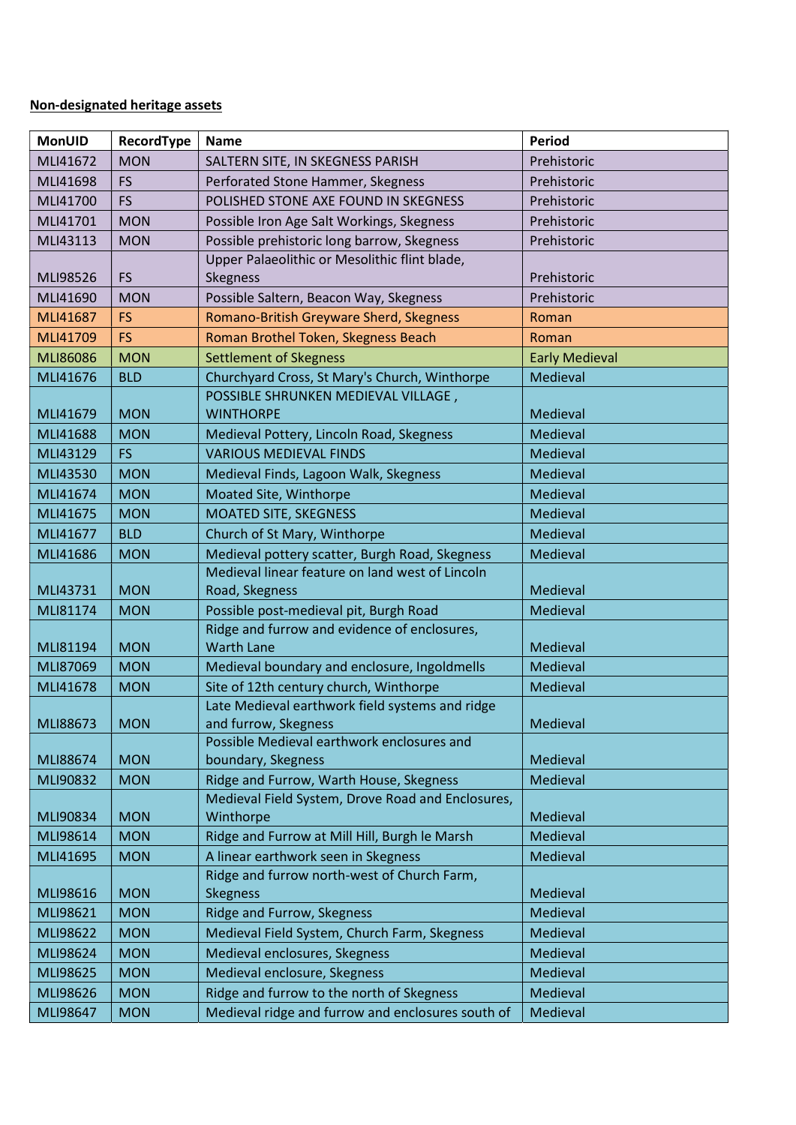## Non-designated heritage assets

| <b>MonUID</b> | RecordType | <b>Name</b>                                                                               | <b>Period</b>         |
|---------------|------------|-------------------------------------------------------------------------------------------|-----------------------|
| MLI41672      | <b>MON</b> | SALTERN SITE, IN SKEGNESS PARISH                                                          | Prehistoric           |
| MLI41698      | <b>FS</b>  | Perforated Stone Hammer, Skegness                                                         | Prehistoric           |
| MLI41700      | <b>FS</b>  | POLISHED STONE AXE FOUND IN SKEGNESS                                                      | Prehistoric           |
| MLI41701      | <b>MON</b> | Possible Iron Age Salt Workings, Skegness                                                 | Prehistoric           |
| MLI43113      | <b>MON</b> | Possible prehistoric long barrow, Skegness                                                | Prehistoric           |
|               |            | Upper Palaeolithic or Mesolithic flint blade,                                             |                       |
| MLI98526      | <b>FS</b>  | Skegness                                                                                  | Prehistoric           |
| MLI41690      | <b>MON</b> | Possible Saltern, Beacon Way, Skegness                                                    | Prehistoric           |
| MLI41687      | <b>FS</b>  | Romano-British Greyware Sherd, Skegness                                                   | Roman                 |
| MLI41709      | <b>FS</b>  | Roman Brothel Token, Skegness Beach                                                       | Roman                 |
| MLI86086      | <b>MON</b> | <b>Settlement of Skegness</b>                                                             | <b>Early Medieval</b> |
| MLI41676      | <b>BLD</b> | Churchyard Cross, St Mary's Church, Winthorpe                                             | Medieval              |
|               |            | POSSIBLE SHRUNKEN MEDIEVAL VILLAGE,                                                       |                       |
| MLI41679      | <b>MON</b> | <b>WINTHORPE</b>                                                                          | Medieval              |
| MLI41688      | <b>MON</b> | Medieval Pottery, Lincoln Road, Skegness                                                  | Medieval              |
| MLI43129      | <b>FS</b>  | <b>VARIOUS MEDIEVAL FINDS</b>                                                             | Medieval              |
| MLI43530      | <b>MON</b> | Medieval Finds, Lagoon Walk, Skegness                                                     | Medieval              |
| MLI41674      | <b>MON</b> | Moated Site, Winthorpe                                                                    | Medieval              |
| MLI41675      | <b>MON</b> | <b>MOATED SITE, SKEGNESS</b>                                                              | Medieval              |
| MLI41677      | <b>BLD</b> | Church of St Mary, Winthorpe                                                              | Medieval              |
| MLI41686      | <b>MON</b> | Medieval pottery scatter, Burgh Road, Skegness                                            | Medieval              |
|               |            | Medieval linear feature on land west of Lincoln                                           |                       |
| MLI43731      | <b>MON</b> | Road, Skegness                                                                            | Medieval              |
| MLI81174      | <b>MON</b> | Possible post-medieval pit, Burgh Road                                                    | Medieval              |
|               |            | Ridge and furrow and evidence of enclosures,                                              |                       |
| MLI81194      | <b>MON</b> | <b>Warth Lane</b>                                                                         | Medieval              |
| MLI87069      | <b>MON</b> | Medieval boundary and enclosure, Ingoldmells                                              | Medieval              |
| MLI41678      | <b>MON</b> | Site of 12th century church, Winthorpe<br>Late Medieval earthwork field systems and ridge | Medieval              |
| MLI88673      | <b>MON</b> | and furrow, Skegness                                                                      | Medieval              |
|               |            | Possible Medieval earthwork enclosures and                                                |                       |
| MLI88674      | <b>MON</b> | boundary, Skegness                                                                        | Medieval              |
| MLI90832      | <b>MON</b> | Ridge and Furrow, Warth House, Skegness                                                   | Medieval              |
|               |            | Medieval Field System, Drove Road and Enclosures,                                         |                       |
| MLI90834      | <b>MON</b> | Winthorpe                                                                                 | Medieval              |
| MLI98614      | <b>MON</b> | Ridge and Furrow at Mill Hill, Burgh le Marsh                                             | Medieval              |
| MLI41695      | <b>MON</b> | A linear earthwork seen in Skegness                                                       | Medieval              |
|               |            | Ridge and furrow north-west of Church Farm,                                               |                       |
| MLI98616      | <b>MON</b> | <b>Skegness</b>                                                                           | Medieval              |
| MLI98621      | <b>MON</b> | Ridge and Furrow, Skegness                                                                | Medieval              |
| MLI98622      | <b>MON</b> | Medieval Field System, Church Farm, Skegness                                              | Medieval              |
| MLI98624      | <b>MON</b> | Medieval enclosures, Skegness                                                             | Medieval              |
| MLI98625      | <b>MON</b> | Medieval enclosure, Skegness                                                              | Medieval              |
| MLI98626      | <b>MON</b> | Ridge and furrow to the north of Skegness                                                 | Medieval              |
| MLI98647      | <b>MON</b> | Medieval ridge and furrow and enclosures south of                                         | Medieval              |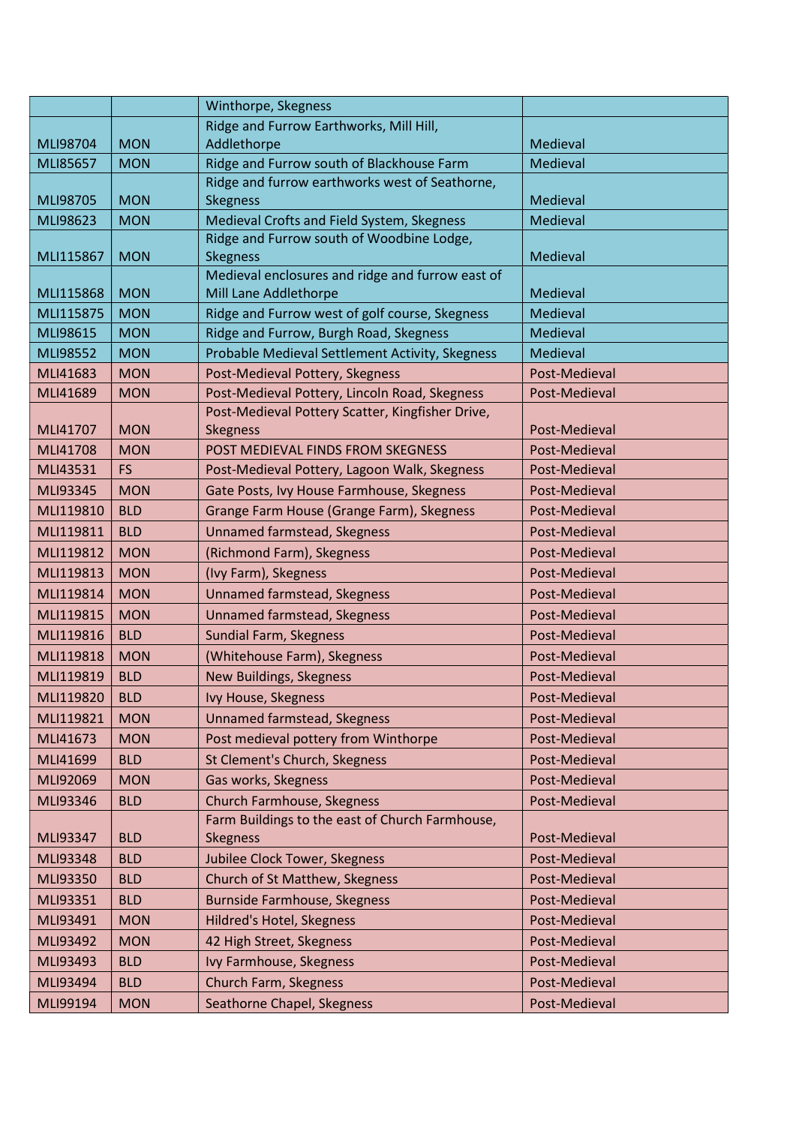|           |            | Winthorpe, Skegness                                                       |               |
|-----------|------------|---------------------------------------------------------------------------|---------------|
|           |            | Ridge and Furrow Earthworks, Mill Hill,                                   |               |
| MLI98704  | <b>MON</b> | Addlethorpe                                                               | Medieval      |
| MLI85657  | <b>MON</b> | Ridge and Furrow south of Blackhouse Farm                                 | Medieval      |
|           |            | Ridge and furrow earthworks west of Seathorne,                            |               |
| MLI98705  | <b>MON</b> | <b>Skegness</b>                                                           | Medieval      |
| MLI98623  | <b>MON</b> | Medieval Crofts and Field System, Skegness                                | Medieval      |
|           |            | Ridge and Furrow south of Woodbine Lodge,                                 |               |
| MLI115867 | <b>MON</b> | <b>Skegness</b>                                                           | Medieval      |
| MLI115868 | <b>MON</b> | Medieval enclosures and ridge and furrow east of<br>Mill Lane Addlethorpe | Medieval      |
| MLI115875 | <b>MON</b> | Ridge and Furrow west of golf course, Skegness                            | Medieval      |
| MLI98615  | <b>MON</b> | Ridge and Furrow, Burgh Road, Skegness                                    | Medieval      |
| MLI98552  | <b>MON</b> | Probable Medieval Settlement Activity, Skegness                           | Medieval      |
| MLI41683  | <b>MON</b> | Post-Medieval Pottery, Skegness                                           | Post-Medieval |
| MLI41689  | <b>MON</b> | Post-Medieval Pottery, Lincoln Road, Skegness                             | Post-Medieval |
|           |            | Post-Medieval Pottery Scatter, Kingfisher Drive,                          |               |
| MLI41707  | <b>MON</b> | <b>Skegness</b>                                                           | Post-Medieval |
| MLI41708  | <b>MON</b> | POST MEDIEVAL FINDS FROM SKEGNESS                                         | Post-Medieval |
| MLI43531  | <b>FS</b>  | Post-Medieval Pottery, Lagoon Walk, Skegness                              | Post-Medieval |
| MLI93345  | <b>MON</b> | Gate Posts, Ivy House Farmhouse, Skegness                                 | Post-Medieval |
| MLI119810 | <b>BLD</b> | Grange Farm House (Grange Farm), Skegness                                 | Post-Medieval |
| MLI119811 | <b>BLD</b> | <b>Unnamed farmstead, Skegness</b>                                        | Post-Medieval |
| MLI119812 | <b>MON</b> | (Richmond Farm), Skegness                                                 | Post-Medieval |
| MLI119813 | <b>MON</b> | (Ivy Farm), Skegness                                                      | Post-Medieval |
| MLI119814 | <b>MON</b> | <b>Unnamed farmstead, Skegness</b>                                        | Post-Medieval |
| MLI119815 | <b>MON</b> | <b>Unnamed farmstead, Skegness</b>                                        | Post-Medieval |
| MLI119816 | <b>BLD</b> | <b>Sundial Farm, Skegness</b>                                             | Post-Medieval |
| MLI119818 | <b>MON</b> | (Whitehouse Farm), Skegness                                               | Post-Medieval |
| MLI119819 | <b>BLD</b> | New Buildings, Skegness                                                   | Post-Medieval |
| MLI119820 | <b>BLD</b> | Ivy House, Skegness                                                       | Post-Medieval |
| MLI119821 | <b>MON</b> | <b>Unnamed farmstead, Skegness</b>                                        | Post-Medieval |
| MLI41673  | <b>MON</b> | Post medieval pottery from Winthorpe                                      | Post-Medieval |
| MLI41699  | <b>BLD</b> | St Clement's Church, Skegness                                             | Post-Medieval |
| MLI92069  | <b>MON</b> | Gas works, Skegness                                                       | Post-Medieval |
| MLI93346  | <b>BLD</b> | <b>Church Farmhouse, Skegness</b>                                         | Post-Medieval |
|           |            | Farm Buildings to the east of Church Farmhouse,                           |               |
| MLI93347  | <b>BLD</b> | Skegness                                                                  | Post-Medieval |
| MLI93348  | <b>BLD</b> | Jubilee Clock Tower, Skegness                                             | Post-Medieval |
| MLI93350  | <b>BLD</b> | Church of St Matthew, Skegness                                            | Post-Medieval |
| MLI93351  | <b>BLD</b> | Burnside Farmhouse, Skegness                                              | Post-Medieval |
| MLI93491  | <b>MON</b> | Hildred's Hotel, Skegness                                                 | Post-Medieval |
| MLI93492  | <b>MON</b> | 42 High Street, Skegness                                                  | Post-Medieval |
| MLI93493  | <b>BLD</b> | Ivy Farmhouse, Skegness                                                   | Post-Medieval |
| MLI93494  | <b>BLD</b> | Church Farm, Skegness                                                     | Post-Medieval |
| MLI99194  | <b>MON</b> | Seathorne Chapel, Skegness                                                | Post-Medieval |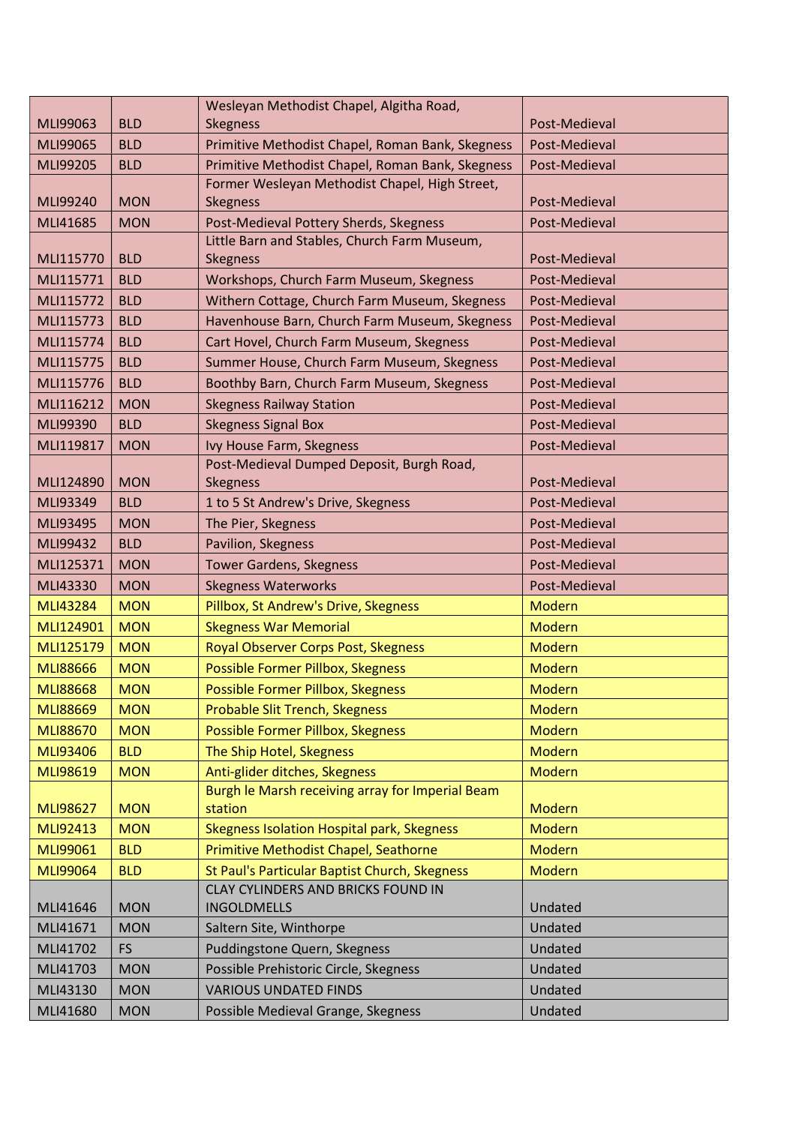|                      |                          | Wesleyan Methodist Chapel, Algitha Road,                                               |                    |
|----------------------|--------------------------|----------------------------------------------------------------------------------------|--------------------|
| MLI99063             | <b>BLD</b>               | <b>Skegness</b>                                                                        | Post-Medieval      |
| MLI99065             | <b>BLD</b>               | Primitive Methodist Chapel, Roman Bank, Skegness                                       | Post-Medieval      |
| MLI99205             | <b>BLD</b>               | Primitive Methodist Chapel, Roman Bank, Skegness                                       | Post-Medieval      |
|                      | <b>MON</b>               | Former Wesleyan Methodist Chapel, High Street,                                         |                    |
| MLI99240             |                          | <b>Skegness</b>                                                                        | Post-Medieval      |
| MLI41685             | <b>MON</b>               | Post-Medieval Pottery Sherds, Skegness<br>Little Barn and Stables, Church Farm Museum, | Post-Medieval      |
| MLI115770            | <b>BLD</b>               | <b>Skegness</b>                                                                        | Post-Medieval      |
| MLI115771            | <b>BLD</b>               | Workshops, Church Farm Museum, Skegness                                                | Post-Medieval      |
| MLI115772            | <b>BLD</b>               | Withern Cottage, Church Farm Museum, Skegness                                          | Post-Medieval      |
| MLI115773            | <b>BLD</b>               | Havenhouse Barn, Church Farm Museum, Skegness                                          | Post-Medieval      |
| MLI115774            | <b>BLD</b>               | Cart Hovel, Church Farm Museum, Skegness                                               | Post-Medieval      |
| MLI115775            | <b>BLD</b>               | Summer House, Church Farm Museum, Skegness                                             | Post-Medieval      |
| MLI115776            | <b>BLD</b>               | Boothby Barn, Church Farm Museum, Skegness                                             | Post-Medieval      |
| MLI116212            | <b>MON</b>               | <b>Skegness Railway Station</b>                                                        | Post-Medieval      |
| MLI99390             | <b>BLD</b>               | <b>Skegness Signal Box</b>                                                             | Post-Medieval      |
| MLI119817            | <b>MON</b>               | Ivy House Farm, Skegness                                                               | Post-Medieval      |
|                      |                          | Post-Medieval Dumped Deposit, Burgh Road,                                              |                    |
| MLI124890            | <b>MON</b>               | <b>Skegness</b>                                                                        | Post-Medieval      |
| MLI93349             | <b>BLD</b>               | 1 to 5 St Andrew's Drive, Skegness                                                     | Post-Medieval      |
| MLI93495             | <b>MON</b>               | The Pier, Skegness                                                                     | Post-Medieval      |
| MLI99432             | <b>BLD</b>               | Pavilion, Skegness                                                                     | Post-Medieval      |
|                      | <b>MON</b>               | <b>Tower Gardens, Skegness</b>                                                         | Post-Medieval      |
| MLI125371            |                          |                                                                                        |                    |
| MLI43330             | <b>MON</b>               | <b>Skegness Waterworks</b>                                                             | Post-Medieval      |
| <b>MLI43284</b>      | <b>MON</b>               | Pillbox, St Andrew's Drive, Skegness                                                   | <b>Modern</b>      |
| MLI124901            | <b>MON</b>               | <b>Skegness War Memorial</b>                                                           | <b>Modern</b>      |
| MLI125179            | <b>MON</b>               | Royal Observer Corps Post, Skegness                                                    | <b>Modern</b>      |
| <b>MLI88666</b>      | <b>MON</b>               | Possible Former Pillbox, Skegness                                                      | Modern             |
| <b>MLI88668</b>      | <b>MON</b>               | Possible Former Pillbox, Skegness                                                      | <b>Modern</b>      |
| <b>MLI88669</b>      | <b>MON</b>               | Probable Slit Trench, Skegness                                                         | Modern             |
| <b>MLI88670</b>      | <b>MON</b>               | Possible Former Pillbox, Skegness                                                      | <b>Modern</b>      |
| MLI93406             | <b>BLD</b>               | The Ship Hotel, Skegness                                                               | <b>Modern</b>      |
| MLI98619             | <b>MON</b>               | Anti-glider ditches, Skegness                                                          | Modern             |
|                      |                          | Burgh le Marsh receiving array for Imperial Beam                                       |                    |
| <b>MLI98627</b>      | <b>MON</b>               | station                                                                                | <b>Modern</b>      |
| MLI92413             | <b>MON</b>               | Skegness Isolation Hospital park, Skegness                                             | <b>Modern</b>      |
| MLI99061             | <b>BLD</b>               | Primitive Methodist Chapel, Seathorne                                                  | <b>Modern</b>      |
| MLI99064             | <b>BLD</b>               | St Paul's Particular Baptist Church, Skegness                                          | <b>Modern</b>      |
|                      |                          | CLAY CYLINDERS AND BRICKS FOUND IN                                                     |                    |
| MLI41646             | <b>MON</b>               | <b>INGOLDMELLS</b>                                                                     | Undated            |
| MLI41671             | <b>MON</b>               | Saltern Site, Winthorpe                                                                | Undated            |
| MLI41702             | <b>FS</b>                | Puddingstone Quern, Skegness                                                           | Undated            |
| MLI41703             | <b>MON</b>               | Possible Prehistoric Circle, Skegness                                                  | Undated            |
| MLI43130<br>MLI41680 | <b>MON</b><br><b>MON</b> | <b>VARIOUS UNDATED FINDS</b><br>Possible Medieval Grange, Skegness                     | Undated<br>Undated |